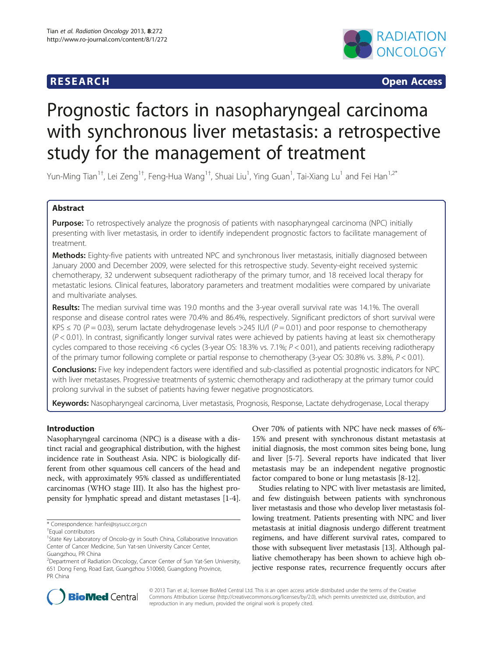## **RESEARCH CHINESE ARCH CHINESE ARCH CHINESE ARCH**



# Prognostic factors in nasopharyngeal carcinoma with synchronous liver metastasis: a retrospective study for the management of treatment

Yun-Ming Tian $^{1\dagger}$ , Lei Zeng $^{1\dagger}$ , Feng-Hua Wang $^{1\dagger}$ , Shuai Liu $^1$ , Ying Guan $^1$ , Tai-Xiang Lu $^1$  and Fei Han $^{1,2^*}$ 

## Abstract

Purpose: To retrospectively analyze the prognosis of patients with nasopharyngeal carcinoma (NPC) initially presenting with liver metastasis, in order to identify independent prognostic factors to facilitate management of treatment.

Methods: Eighty-five patients with untreated NPC and synchronous liver metastasis, initially diagnosed between January 2000 and December 2009, were selected for this retrospective study. Seventy-eight received systemic chemotherapy, 32 underwent subsequent radiotherapy of the primary tumor, and 18 received local therapy for metastatic lesions. Clinical features, laboratory parameters and treatment modalities were compared by univariate and multivariate analyses.

Results: The median survival time was 19.0 months and the 3-year overall survival rate was 14.1%. The overall response and disease control rates were 70.4% and 86.4%, respectively. Significant predictors of short survival were KPS  $\leq$  70 (P = 0.03), serum lactate dehydrogenase levels >245 IU/l (P = 0.01) and poor response to chemotherapy  $(P < 0.01)$ . In contrast, significantly longer survival rates were achieved by patients having at least six chemotherapy cycles compared to those receiving <6 cycles (3-year OS: 18.3% vs. 7.1%;  $P < 0.01$ ), and patients receiving radiotherapy of the primary tumor following complete or partial response to chemotherapy (3-year OS: 30.8% vs. 3.8%, P < 0.01).

Conclusions: Five key independent factors were identified and sub-classified as potential prognostic indicators for NPC with liver metastases. Progressive treatments of systemic chemotherapy and radiotherapy at the primary tumor could prolong survival in the subset of patients having fewer negative prognosticators.

Keywords: Nasopharyngeal carcinoma, Liver metastasis, Prognosis, Response, Lactate dehydrogenase, Local therapy

## Introduction

Nasopharyngeal carcinoma (NPC) is a disease with a distinct racial and geographical distribution, with the highest incidence rate in Southeast Asia. NPC is biologically different from other squamous cell cancers of the head and neck, with approximately 95% classed as undifferentiated carcinomas (WHO stage III). It also has the highest propensity for lymphatic spread and distant metastases [\[1](#page-5-0)-[4](#page-5-0)].

Over 70% of patients with NPC have neck masses of 6%- 15% and present with synchronous distant metastasis at initial diagnosis, the most common sites being bone, lung and liver [[5-7](#page-5-0)]. Several reports have indicated that liver metastasis may be an independent negative prognostic factor compared to bone or lung metastasis [\[8](#page-5-0)-[12](#page-5-0)].

Studies relating to NPC with liver metastasis are limited, and few distinguish between patients with synchronous liver metastasis and those who develop liver metastasis following treatment. Patients presenting with NPC and liver metastasis at initial diagnosis undergo different treatment regimens, and have different survival rates, compared to those with subsequent liver metastasis [[13](#page-5-0)]. Although palliative chemotherapy has been shown to achieve high objective response rates, recurrence frequently occurs after



© 2013 Tian et al.; licensee BioMed Central Ltd. This is an open access article distributed under the terms of the Creative Commons Attribution License [\(http://creativecommons.org/licenses/by/2.0\)](http://creativecommons.org/licenses/by/2.0), which permits unrestricted use, distribution, and reproduction in any medium, provided the original work is properly cited.

<sup>\*</sup> Correspondence: [hanfei@sysucc.org.cn](mailto:hanfei@sysucc.org.cn) †

Equal contributors

<sup>&</sup>lt;sup>1</sup>State Key Laboratory of Oncolo-gy in South China, Collaborative Innovation Center of Cancer Medicine, Sun Yat-sen University Cancer Center, Guangzhou, PR China

<sup>&</sup>lt;sup>2</sup>Department of Radiation Oncology, Cancer Center of Sun Yat-Sen University, 651 Dong Feng, Road East, Guangzhou 510060, Guangdong Province, PR China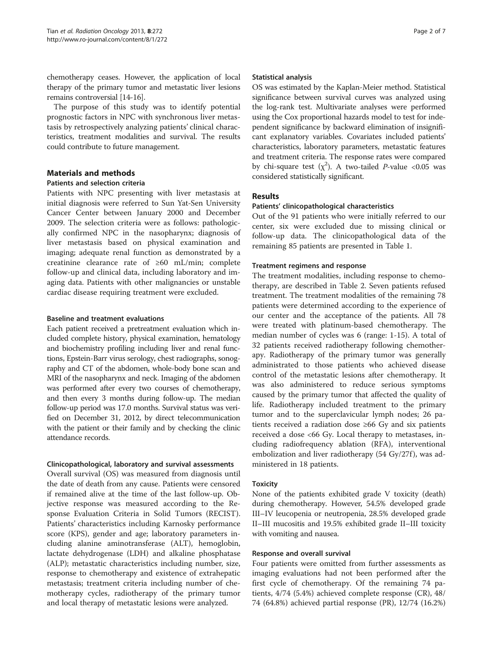chemotherapy ceases. However, the application of local therapy of the primary tumor and metastatic liver lesions remains controversial [[14](#page-5-0)-[16](#page-5-0)].

The purpose of this study was to identify potential prognostic factors in NPC with synchronous liver metastasis by retrospectively analyzing patients' clinical characteristics, treatment modalities and survival. The results could contribute to future management.

## Materials and methods

## Patients and selection criteria

Patients with NPC presenting with liver metastasis at initial diagnosis were referred to Sun Yat-Sen University Cancer Center between January 2000 and December 2009. The selection criteria were as follows: pathologically confirmed NPC in the nasopharynx; diagnosis of liver metastasis based on physical examination and imaging; adequate renal function as demonstrated by a creatinine clearance rate of ≥60 mL/min; complete follow-up and clinical data, including laboratory and imaging data. Patients with other malignancies or unstable cardiac disease requiring treatment were excluded.

#### Baseline and treatment evaluations

Each patient received a pretreatment evaluation which included complete history, physical examination, hematology and biochemistry profiling including liver and renal functions, Epstein-Barr virus serology, chest radiographs, sonography and CT of the abdomen, whole-body bone scan and MRI of the nasopharynx and neck. Imaging of the abdomen was performed after every two courses of chemotherapy, and then every 3 months during follow-up. The median follow-up period was 17.0 months. Survival status was verified on December 31, 2012, by direct telecommunication with the patient or their family and by checking the clinic attendance records.

## Clinicopathological, laboratory and survival assessments

Overall survival (OS) was measured from diagnosis until the date of death from any cause. Patients were censored if remained alive at the time of the last follow-up. Objective response was measured according to the Response Evaluation Criteria in Solid Tumors (RECIST). Patients' characteristics including Karnosky performance score (KPS), gender and age; laboratory parameters including alanine aminotransferase (ALT), hemoglobin, lactate dehydrogenase (LDH) and alkaline phosphatase (ALP); metastatic characteristics including number, size, response to chemotherapy and existence of extrahepatic metastasis; treatment criteria including number of chemotherapy cycles, radiotherapy of the primary tumor and local therapy of metastatic lesions were analyzed.

#### Statistical analysis

OS was estimated by the Kaplan-Meier method. Statistical significance between survival curves was analyzed using the log-rank test. Multivariate analyses were performed using the Cox proportional hazards model to test for independent significance by backward elimination of insignificant explanatory variables. Covariates included patients' characteristics, laboratory parameters, metastatic features and treatment criteria. The response rates were compared by chi-square test  $(\chi^2)$ . A two-tailed *P*-value <0.05 was considered statistically significant.

## Results

#### Patients' clinicopathological characteristics

Out of the 91 patients who were initially referred to our center, six were excluded due to missing clinical or follow-up data. The clinicopathological data of the remaining 85 patients are presented in Table [1.](#page-2-0)

#### Treatment regimens and response

The treatment modalities, including response to chemotherapy, are described in Table [2.](#page-2-0) Seven patients refused treatment. The treatment modalities of the remaining 78 patients were determined according to the experience of our center and the acceptance of the patients. All 78 were treated with platinum-based chemotherapy. The median number of cycles was 6 (range: 1-15). A total of 32 patients received radiotherapy following chemotherapy. Radiotherapy of the primary tumor was generally administrated to those patients who achieved disease control of the metastatic lesions after chemotherapy. It was also administered to reduce serious symptoms caused by the primary tumor that affected the quality of life. Radiotherapy included treatment to the primary tumor and to the superclavicular lymph nodes; 26 patients received a radiation dose ≥66 Gy and six patients received a dose <66 Gy. Local therapy to metastases, including radiofrequency ablation (RFA), interventional embolization and liver radiotherapy (54 Gy/27f), was administered in 18 patients.

## Toxicity

None of the patients exhibited grade V toxicity (death) during chemotherapy. However, 54.5% developed grade III–IV leucopenia or neutropenia, 28.5% developed grade II–III mucositis and 19.5% exhibited grade II–III toxicity with vomiting and nausea.

## Response and overall survival

Four patients were omitted from further assessments as imaging evaluations had not been performed after the first cycle of chemotherapy. Of the remaining 74 patients, 4/74 (5.4%) achieved complete response (CR), 48/ 74 (64.8%) achieved partial response (PR), 12/74 (16.2%)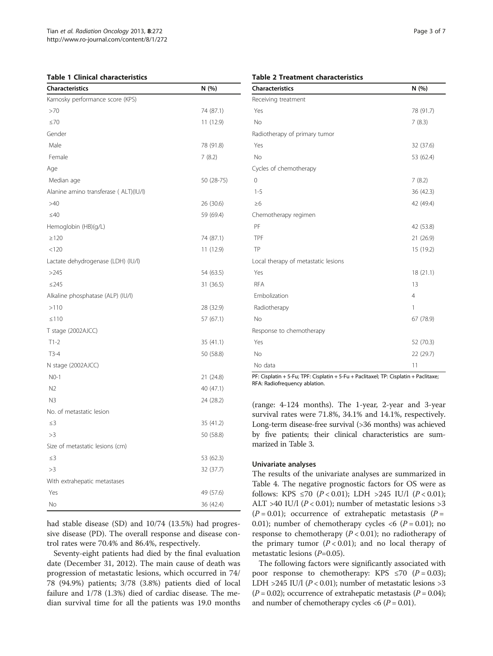#### <span id="page-2-0"></span>Table 1 Clinical characteristics

| Karnosky performance score (KPS)       |  |
|----------------------------------------|--|
| >70<br>74 (87.1)                       |  |
| $\leq 70$<br>11 (12.9)                 |  |
| Gender                                 |  |
| Male<br>78 (91.8)                      |  |
| Female<br>7(8.2)                       |  |
| Age                                    |  |
| Median age<br>50 (28-75)               |  |
| Alanine amino transferase ( ALT)(IU/I) |  |
| >40<br>26 (30.6)                       |  |
| $\leq 40$<br>59 (69.4)                 |  |
| Hemoglobin (HB)(g/L)                   |  |
| $\geq$ 120<br>74 (87.1)                |  |
| < 120<br>11 (12.9)                     |  |
| Lactate dehydrogenase (LDH) (IU/I)     |  |
| >245<br>54 (63.5)                      |  |
| $\leq$ 245<br>31 (36.5)                |  |
| Alkaline phosphatase (ALP) (IU/I)      |  |
| >110<br>28 (32.9)                      |  |
| $\leq 110$<br>57 (67.1)                |  |
| T stage (2002AJCC)                     |  |
| $T1-2$<br>35 (41.1)                    |  |
| 50 (58.8)<br>$T3-4$                    |  |
| N stage (2002AJCC)                     |  |
| $NO-1$<br>21 (24.8)                    |  |
| N <sub>2</sub><br>40 (47.1)            |  |
| N <sub>3</sub><br>24 (28.2)            |  |
| No. of metastatic lesion               |  |
| $\leq$ 3<br>35 (41.2)                  |  |
| >3<br>50 (58.8)                        |  |
| Size of metastatic lesions (cm)        |  |
| $\leq$ 3<br>53 (62.3)                  |  |
| >3<br>32 (37.7)                        |  |
| With extrahepatic metastases           |  |
| Yes<br>49 (57.6)                       |  |
| No<br>36 (42.4)                        |  |

had stable disease (SD) and 10/74 (13.5%) had progressive disease (PD). The overall response and disease control rates were 70.4% and 86.4%, respectively.

Seventy-eight patients had died by the final evaluation date (December 31, 2012). The main cause of death was progression of metastatic lesions, which occurred in 74/ 78 (94.9%) patients; 3/78 (3.8%) patients died of local failure and 1/78 (1.3%) died of cardiac disease. The median survival time for all the patients was 19.0 months

#### Table 2 Treatment characteristics

| <b>Characteristics</b>              | N (%)          |
|-------------------------------------|----------------|
| Receiving treatment                 |                |
| Yes                                 | 78 (91.7)      |
| No                                  | 7(8.3)         |
| Radiotherapy of primary tumor       |                |
| Yes                                 | 32 (37.6)      |
| No                                  | 53 (62.4)      |
| Cycles of chemotherapy              |                |
| $\Omega$                            | 7(8.2)         |
| $1 - 5$                             | 36 (42.3)      |
| $\geq 6$                            | 42 (49.4)      |
| Chemotherapy regimen                |                |
| PF                                  | 42 (53.8)      |
| TPF                                 | 21 (26.9)      |
| TP                                  | 15 (19.2)      |
| Local therapy of metastatic lesions |                |
| Yes                                 | 18 (21.1)      |
| <b>RFA</b>                          | 13             |
| Embolization                        | $\overline{4}$ |
| Radiotherapy                        | 1              |
| No                                  | 67 (78.9)      |
| Response to chemotherapy            |                |
| Yes                                 | 52 (70.3)      |
| No                                  | 22 (29.7)      |
| No data                             | 11             |

PF: Cisplatin + 5-Fu; TPF: Cisplatin + 5-Fu + Paclitaxel; TP: Cisplatin + Paclitaxe; RFA: Radiofrequency ablation.

(range: 4-124 months). The 1-year, 2-year and 3-year survival rates were 71.8%, 34.1% and 14.1%, respectively. Long-term disease-free survival (>36 months) was achieved by five patients; their clinical characteristics are summarized in Table [3.](#page-3-0)

## Univariate analyses

The results of the univariate analyses are summarized in Table [4](#page-3-0). The negative prognostic factors for OS were as follows: KPS  $\leq 70$  (P < 0.01); LDH >245 IU/l (P < 0.01); ALT >40 IU/l ( $P < 0.01$ ); number of metastatic lesions >3  $(P = 0.01)$ ; occurrence of extrahepatic metastasis  $(P = 0.01)$ 0.01); number of chemotherapy cycles  $\langle 6 \rangle$  (P = 0.01); no response to chemotherapy  $(P < 0.01)$ ; no radiotherapy of the primary tumor  $(P < 0.01)$ ; and no local therapy of metastatic lesions  $(P=0.05)$ .

The following factors were significantly associated with poor response to chemotherapy: KPS  $\leq 70$  ( $P = 0.03$ ); LDH >245 IU/l ( $P < 0.01$ ); number of metastatic lesions >3  $(P = 0.02)$ ; occurrence of extrahepatic metastasis  $(P = 0.04)$ ; and number of chemotherapy cycles  $< 6$  ( $P = 0.01$ ).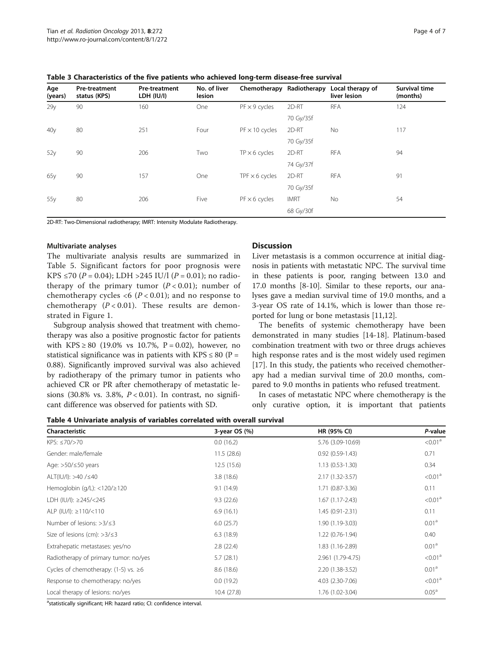| Age<br>(years)  | <b>Pre-treatment</b><br>status (KPS) | <b>Pre-treatment</b><br>LDH (IU/I) | No. of liver<br>lesion | Chemotherapy          | Radiotherapy | Local therapy of<br>liver lesion | <b>Survival time</b><br>(months) |
|-----------------|--------------------------------------|------------------------------------|------------------------|-----------------------|--------------|----------------------------------|----------------------------------|
| 29 <sub>V</sub> | 90                                   | 160                                | One                    | $PF \times 9$ cycles  | 2D-RT        | <b>RFA</b>                       | 124                              |
|                 |                                      |                                    |                        |                       | 70 Gy/35f    |                                  |                                  |
| 40 <sub>V</sub> | 80                                   | 251                                | Four                   | $PF \times 10$ cycles | 2D-RT        | <b>No</b>                        | 117                              |
|                 |                                      |                                    |                        |                       | 70 Gy/35f    |                                  |                                  |
| 52y             | 90                                   | 206                                | Two                    | $TP \times 6$ cycles  | 2D-RT        | <b>RFA</b>                       | 94                               |
|                 |                                      |                                    |                        |                       | 74 Gy/37f    |                                  |                                  |
| 65y             | 90                                   | 157                                | One                    | TPF $\times$ 6 cycles | 2D-RT        | <b>RFA</b>                       | 91                               |
|                 |                                      |                                    |                        |                       | 70 Gy/35f    |                                  |                                  |
| 55y             | 80                                   | 206                                | Five                   | $PF \times 6$ cycles  | <b>IMRT</b>  | <b>No</b>                        | 54                               |
|                 |                                      |                                    |                        |                       | 68 Gy/30f    |                                  |                                  |

<span id="page-3-0"></span>Table 3 Characteristics of the five patients who achieved long-term disease-free survival

2D-RT: Two-Dimensional radiotherapy; IMRT: Intensity Modulate Radiotherapy.

#### Multivariate analyses

The multivariate analysis results are summarized in Table [5](#page-4-0). Significant factors for poor prognosis were KPS ≤70 ( $P = 0.04$ ); LDH >245 IU/l ( $P = 0.01$ ); no radiotherapy of the primary tumor  $(P < 0.01)$ ; number of chemotherapy cycles  $\langle 6 \ (P \langle 0.01 \rangle)$ ; and no response to chemotherapy  $(P < 0.01)$ . These results are demonstrated in Figure [1](#page-4-0).

Subgroup analysis showed that treatment with chemotherapy was also a positive prognostic factor for patients with KPS ≥ 80 (19.0% vs 10.7%, P = 0.02), however, no statistical significance was in patients with KPS  $\leq 80$  (P = 0.88). Significantly improved survival was also achieved by radiotherapy of the primary tumor in patients who achieved CR or PR after chemotherapy of metastatic lesions (30.8% vs. 3.8%,  $P < 0.01$ ). In contrast, no significant difference was observed for patients with SD.

## **Discussion**

Liver metastasis is a common occurrence at initial diagnosis in patients with metastatic NPC. The survival time in these patients is poor, ranging between 13.0 and 17.0 months [\[8](#page-5-0)-[10](#page-5-0)]. Similar to these reports, our analyses gave a median survival time of 19.0 months, and a 3-year OS rate of 14.1%, which is lower than those reported for lung or bone metastasis [[11](#page-5-0),[12](#page-5-0)].

The benefits of systemic chemotherapy have been demonstrated in many studies [[14](#page-5-0)-[18\]](#page-5-0). Platinum-based combination treatment with two or three drugs achieves high response rates and is the most widely used regimen [[17\]](#page-5-0). In this study, the patients who received chemotherapy had a median survival time of 20.0 months, compared to 9.0 months in patients who refused treatment.

In cases of metastatic NPC where chemotherapy is the only curative option, it is important that patients

Table 4 Univariate analysis of variables correlated with overall survival

| Characteristic                               | 3-year OS $(%)$ | HR (95% CI)         | P-value             |
|----------------------------------------------|-----------------|---------------------|---------------------|
| $KPS: \leq 70/ > 70$                         | 0.0(16.2)       | 5.76 (3.09-10.69)   | < 0.01 <sup>a</sup> |
| Gender: male/female                          | 11.5(28.6)      | $0.92(0.59-1.43)$   | 0.71                |
| Age: $>50/\leq 50$ years                     | 12.5(15.6)      | $1.13(0.53-1.30)$   | 0.34                |
| ALT(IU/I): $>40$ / $\leq 40$                 | 3.8(18.6)       | $2.17(1.32 - 3.57)$ | < 0.01 <sup>a</sup> |
| Hemoglobin (g/L): $<$ 120/ $\ge$ 120         | 9.1(14.9)       | $1.71(0.87 - 3.36)$ | 0.11                |
| LDH (IU/I): ≥245/<245                        | 9.3(22.6)       | $1.67(1.17-2.43)$   | < 0.01 <sup>a</sup> |
| ALP (IU/I): $\geq$ 110/<110                  | 6.9(16.1)       | $1.45(0.91 - 2.31)$ | 0.11                |
| Number of lesions: $>3/53$                   | 6.0(25.7)       | 1.90 (1.19-3.03)    | 0.01 <sup>a</sup>   |
| Size of lesions (cm): $>3/\leq 3$            | 6.3(18.9)       | $1.22(0.76-1.94)$   | 0.40                |
| Extrahepatic metastases: yes/no              | 2.8(22.4)       | 1.83 (1.16-2.89)    | 0.01 <sup>a</sup>   |
| Radiotherapy of primary tumor: no/yes        | 5.7(28.1)       | 2.961 (1.79-4.75)   | < 0.01 <sup>a</sup> |
| Cycles of chemotherapy: $(1-5)$ vs. $\geq 6$ | 8.6(18.6)       | 2.20 (1.38-3.52)    | 0.01 <sup>a</sup>   |
| Response to chemotherapy: no/yes             | 0.0(19.2)       | 4.03 (2.30-7.06)    | < 0.01 <sup>a</sup> |
| Local therapy of lesions: no/yes             | 10.4 (27.8)     | 1.76 (1.02-3.04)    | $0.05^{\text{a}}$   |

a<sub>statistically significant; HR: hazard ratio; CI: confidence interval.</sub>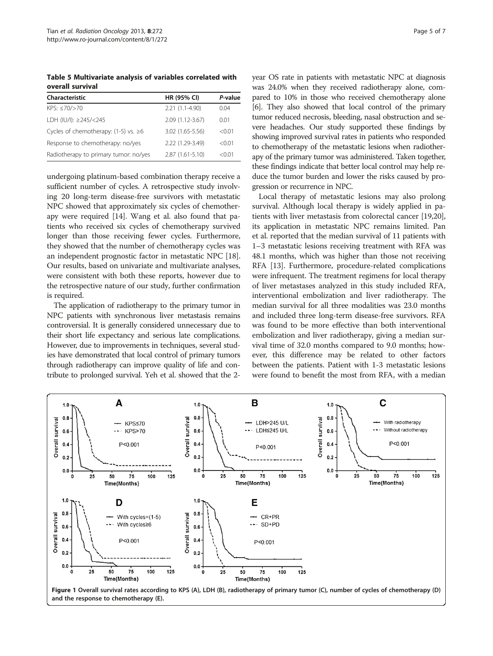<span id="page-4-0"></span>Table 5 Multivariate analysis of variables correlated with overall survival

| Characteristic                               | <b>HR (95% CI)</b> | P-value |
|----------------------------------------------|--------------------|---------|
| KPS: ≤70/>70                                 | $2.21(1.1-4.90)$   | 0.04    |
| LDH (IU/I): ≥245/<245                        | 2.09 (1.12-3.67)   | 0.01    |
| Cycles of chemotherapy: $(1-5)$ vs. $\geq 6$ | 3.02 (1.65-5.56)   | < 0.01  |
| Response to chemotherapy: no/yes             | 2.22 (1.29-3.49)   | < 0.01  |
| Radiotherapy to primary tumor: no/yes        | 2.87 (1.61-5.10)   | < 0.01  |

undergoing platinum-based combination therapy receive a sufficient number of cycles. A retrospective study involving 20 long-term disease-free survivors with metastatic NPC showed that approximately six cycles of chemotherapy were required [[14](#page-5-0)]. Wang et al. also found that patients who received six cycles of chemotherapy survived longer than those receiving fewer cycles. Furthermore, they showed that the number of chemotherapy cycles was an independent prognostic factor in metastatic NPC [[18](#page-5-0)]. Our results, based on univariate and multivariate analyses, were consistent with both these reports, however due to the retrospective nature of our study, further confirmation is required.

The application of radiotherapy to the primary tumor in NPC patients with synchronous liver metastasis remains controversial. It is generally considered unnecessary due to their short life expectancy and serious late complications. However, due to improvements in techniques, several studies have demonstrated that local control of primary tumors through radiotherapy can improve quality of life and contribute to prolonged survival. Yeh et al. showed that the 2year OS rate in patients with metastatic NPC at diagnosis was 24.0% when they received radiotherapy alone, compared to 10% in those who received chemotherapy alone [[6](#page-5-0)]. They also showed that local control of the primary tumor reduced necrosis, bleeding, nasal obstruction and severe headaches. Our study supported these findings by showing improved survival rates in patients who responded to chemotherapy of the metastatic lesions when radiotherapy of the primary tumor was administered. Taken together, these findings indicate that better local control may help reduce the tumor burden and lower the risks caused by progression or recurrence in NPC.

Local therapy of metastatic lesions may also prolong survival. Although local therapy is widely applied in patients with liver metastasis from colorectal cancer [\[19,20](#page-5-0)], its application in metastatic NPC remains limited. Pan et al. reported that the median survival of 11 patients with 1–3 metastatic lesions receiving treatment with RFA was 48.1 months, which was higher than those not receiving RFA [[13](#page-5-0)]. Furthermore, procedure-related complications were infrequent. The treatment regimens for local therapy of liver metastases analyzed in this study included RFA, interventional embolization and liver radiotherapy. The median survival for all three modalities was 23.0 months and included three long-term disease-free survivors. RFA was found to be more effective than both interventional embolization and liver radiotherapy, giving a median survival time of 32.0 months compared to 9.0 months; however, this difference may be related to other factors between the patients. Patient with 1-3 metastatic lesions were found to benefit the most from RFA, with a median



and the response to chemotherapy (E).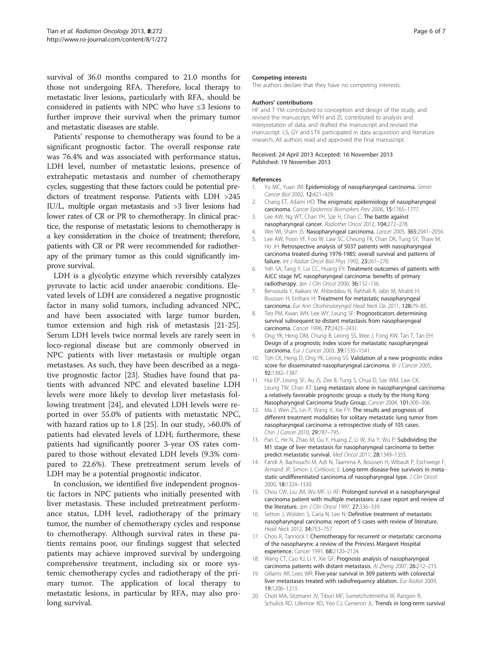<span id="page-5-0"></span>survival of 36.0 months compared to 21.0 months for those not undergoing RFA. Therefore, local therapy to metastatic liver lesions, particularly with RFA, should be considered in patients with NPC who have ≤3 lesions to further improve their survival when the primary tumor and metastatic diseases are stable.

Patients' response to chemotherapy was found to be a significant prognostic factor. The overall response rate was 76.4% and was associated with performance status, LDH level, number of metastatic lesions, presence of extrahepatic metastasis and number of chemotherapy cycles, suggesting that these factors could be potential predictors of treatment response. Patients with LDH >245 IU/L, multiple organ metastasis and >3 liver lesions had lower rates of CR or PR to chemotherapy. In clinical practice, the response of metastatic lesions to chemotherapy is a key consideration in the choice of treatment; therefore, patients with CR or PR were recommended for radiotherapy of the primary tumor as this could significantly improve survival.

LDH is a glycolytic enzyme which reversibly catalyzes pyruvate to lactic acid under anaerobic conditions. Elevated levels of LDH are considered a negative prognostic factor in many solid tumors, including advanced NPC, and have been associated with large tumor burden, tumor extension and high risk of metastasis [\[21-25](#page-6-0)]. Serum LDH levels twice normal levels are rarely seen in loco-regional disease but are commonly observed in NPC patients with liver metastasis or multiple organ metastases. As such, they have been described as a negative prognostic factor [[23](#page-6-0)]. Studies have found that patients with advanced NPC and elevated baseline LDH levels were more likely to develop liver metastasis following treatment [[24\]](#page-6-0), and elevated LDH levels were reported in over 55.0% of patients with metastatic NPC, with hazard ratios up to 1.8 [[25](#page-6-0)]. In our study, >60.0% of patients had elevated levels of LDH; furthermore, these patients had significantly poorer 3-year OS rates compared to those without elevated LDH levels (9.3% compared to 22.6%). These pretreatment serum levels of LDH may be a potential prognostic indicator.

In conclusion, we identified five independent prognostic factors in NPC patients who initially presented with liver metastasis. These included pretreatment performance status, LDH level, radiotherapy of the primary tumor, the number of chemotherapy cycles and response to chemotherapy. Although survival rates in these patients remains poor, our findings suggest that selected patients may achieve improved survival by undergoing comprehensive treatment, including six or more systemic chemotherapy cycles and radiotherapy of the primary tumor. The application of local therapy to metastatic lesions, in particular by RFA, may also prolong survival.

#### Competing interests

The authors declare that they have no competing interests.

#### Authors' contributions

HF and T YM contributed to conception and design of the study, and revised the manuscript; WFH and ZL contributed to analysis and interpretation of data, and drafted the manuscript and revised the manuscript. LS, GY and LTX participated in data acquisition and literature research. All authors read and approved the final manuscript.

#### Received: 24 April 2013 Accepted: 16 November 2013 Published: 19 November 2013

#### References

- 1. Yu MC, Yuan JM: Epidemiology of nasopharyngeal carcinoma. Semin Cancer Biol 2002, 12:421–429.
- 2. Chang ET, Adami HO: The enigmatic epidemiology of nasopharyngeal carcinoma. Cancer Epidemiol Biomarkers Prev 2006, 15:1765–1777.
- 3. Lee AW, Ng WT, Chan YH, Sze H, Chan C: The battle against nasopharyngeal cancer. Radiother Oncol 2012, 104:272–278.
- 4. Wei WI, Sham JS: Nasopharyngeal carcinoma. Lancet 2005, 365:2041–2054.
- 5. Lee AW, Poon YF, Foo W, Law SC, Cheung FK, Chan DK, Tung SY, Thaw M, Ho JH: Retrospective analysis of 5037 patients with nasopharyngeal carcinoma treated during 1976-1985: overall survival and patterns of failure. Int J Radiat Oncol Biol Phys 1992, 23:261-270.
- 6. Yeh SA, Tang Y, Lui CC, Huang EY: Treatment outcomes of patients with AJCC stage IVC nasopharyngeal carcinoma: benefits of primary radiotherapy. Jpn J Clin Oncol 2006, 36:132–136.
- 7. Bensouda Y, Kaikani W, Ahbeddou N, Rahhali R, Jabri M, Mrabti H, Boussen H, Errihani H: Treatment for metastatic nasopharyngeal carcinoma. Eur Ann Otorhinolaryngol Head Neck Dis 2011, 128:79–85.
- 8. Teo PM, Kwan WH, Lee WY, Leung SF: Prognosticators determining survival subsequent to distant metastasis from nasopharyngeal carcinoma. Cancer 1996, 77:2423–2431.
- 9. Ong YK, Heng DM, Chung B, Leong SS, Wee J, Fong KW, Tan T, Tan EH: Design of a prognostic index score for metastatic nasopharyngeal carcinoma. Eur J Cancer 2003, 39:1535–1541.
- 10. Toh CK, Heng D, Ong YK, Leong SS: Validation of a new prognostic index score for disseminated nasopharyngeal carcinoma. Br J Cancer 2005, 92:1382–1387.
- 11. Hui EP, Leung SF, Au JS, Zee B, Tung S, Chua D, Sze WM, Law CK, Leung TW, Chan AT: Lung metastasis alone in nasopharyngeal carcinoma: a relatively favorable prognostic group: a study by the Hong Kong Nasopharyngeal Carcinoma Study Group. Cancer 2004, 101:300–306.
- 12. Ma J, Wen ZS, Lin P, Wang X, Xie FY: The results and prognosis of different treatment modalities for solitary metastatic lung tumor from nasopharyngeal carcinoma: a retrospective study of 105 cases. Chin J Cancer 2010, 29:787-795.
- 13. Pan C, He N, Zhao M, Gu Y, Huang Z, Li W, Xia Y, Wu P: Subdividing the M1 stage of liver metastasis for nasopharyngeal carcinoma to better predict metastatic survival. Med Oncol 2011, 28:1349–1355.
- 14. Fandi A, Bachouchi M, Azli N, Taamma A, Boussen H, Wibault P, Eschwege F, Armand JP, Simon J, Cvitkovic E: Long-term disease-free survivors in metastatic undifferentiated carcinoma of nasopharyngeal type. J Clin Oncol 2000, 18:1324–1330.
- 15. Chou CW, Liu JM, Wu MF, Li AF: Prolonged survival in a nasopharyngeal carcinoma patient with multiple metastases: a case report and review of the literature. Jpn J Clin Oncol 1997, 27:336-339.
- 16. Setton J, Wolden S, Caria N, Lee N: Definitive treatment of metastatic nasopharyngeal carcinoma: report of 5 cases with review of literature. Head Neck 2012, 34:753–757.
- 17. Choo R, Tannock I: Chemotherapy for recurrent or metastatic carcinoma of the nasopharynx: a review of the Princess Margaret Hospital experience. Cancer 1991, 68:2120–2124.
- 18. Wang CT, Cao KJ, Li Y, Xie GF: Prognosis analysis of nasopharyngeal carcinoma patients with distant metastasis. Ai Zheng 2007, 26:212–215.
- 19. Gillams AR, Lees WR: Five-year survival in 309 patients with colorectal liver metastases treated with radiofrequency ablation. Eur Radiol 2009, 19:1206–1213.
- 20. Choti MA, Sitzmann JV, Tiburi MF, Sumetchotimetha W, Rangsin R, Schulick RD, Lillemoe KD, Yeo CJ, Cameron JL: Trends in long-term survival